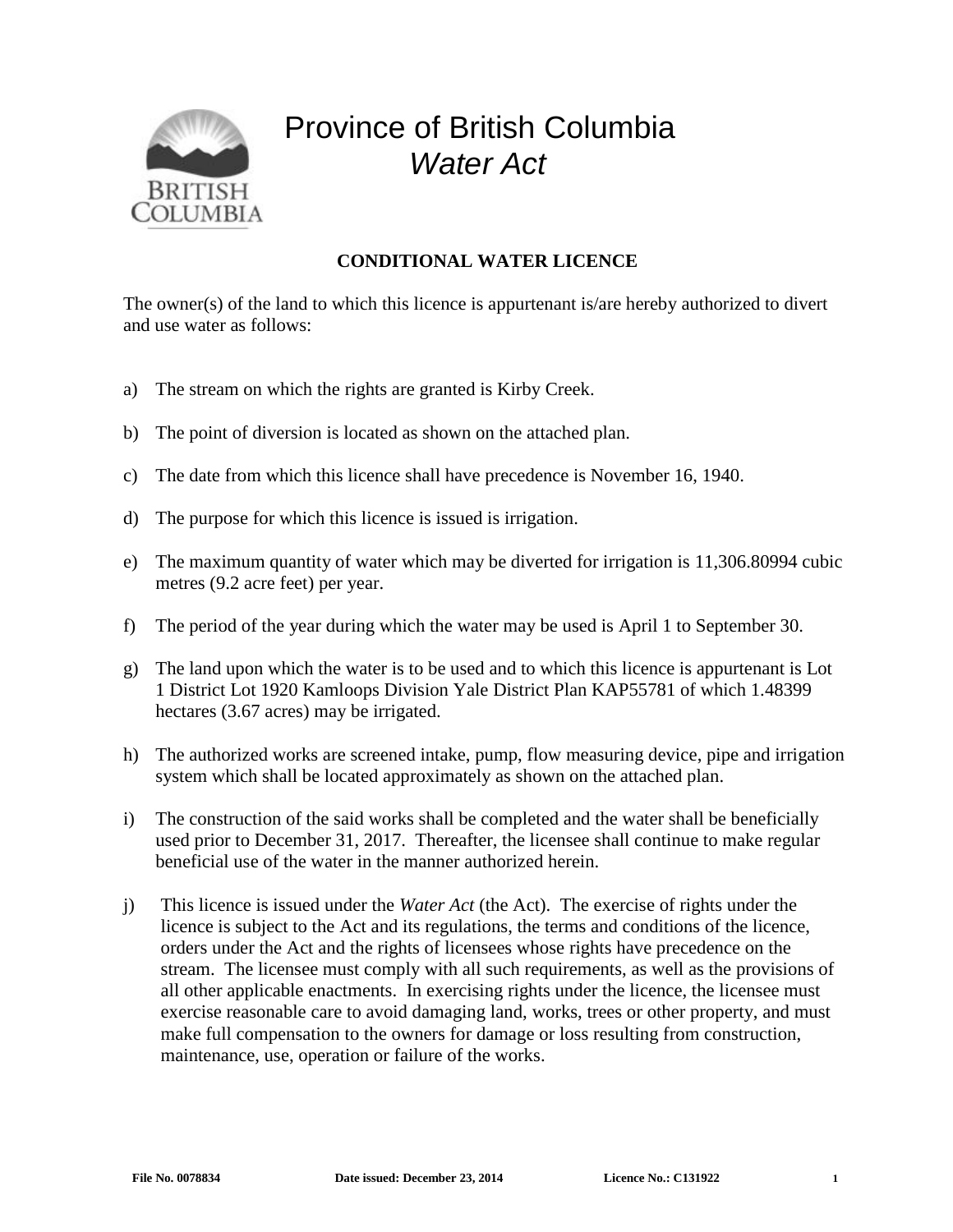

## Province of British Columbia *Water Act*

## **CONDITIONAL WATER LICENCE**

The owner(s) of the land to which this licence is appurtenant is/are hereby authorized to divert and use water as follows:

- a) The stream on which the rights are granted is Kirby Creek.
- b) The point of diversion is located as shown on the attached plan.
- c) The date from which this licence shall have precedence is November 16, 1940.
- d) The purpose for which this licence is issued is irrigation.
- e) The maximum quantity of water which may be diverted for irrigation is 11,306.80994 cubic metres (9.2 acre feet) per year.
- f) The period of the year during which the water may be used is April 1 to September 30.
- g) The land upon which the water is to be used and to which this licence is appurtenant is Lot 1 District Lot 1920 Kamloops Division Yale District Plan KAP55781 of which 1.48399 hectares (3.67 acres) may be irrigated.
- h) The authorized works are screened intake, pump, flow measuring device, pipe and irrigation system which shall be located approximately as shown on the attached plan.
- i) The construction of the said works shall be completed and the water shall be beneficially used prior to December 31, 2017. Thereafter, the licensee shall continue to make regular beneficial use of the water in the manner authorized herein.
- j) This licence is issued under the *Water Act* (the Act). The exercise of rights under the licence is subject to the Act and its regulations, the terms and conditions of the licence, orders under the Act and the rights of licensees whose rights have precedence on the stream. The licensee must comply with all such requirements, as well as the provisions of all other applicable enactments. In exercising rights under the licence, the licensee must exercise reasonable care to avoid damaging land, works, trees or other property, and must make full compensation to the owners for damage or loss resulting from construction, maintenance, use, operation or failure of the works.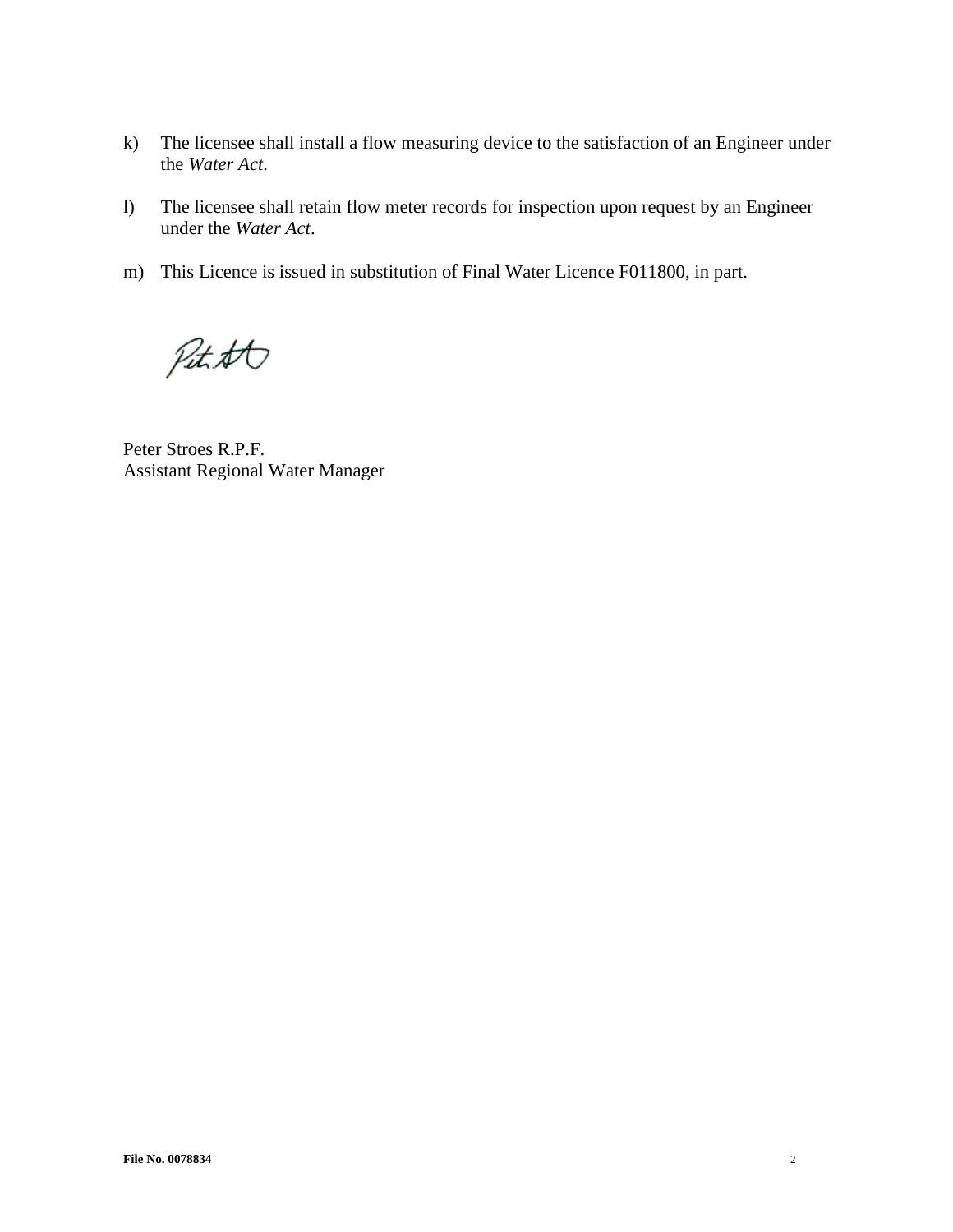- k) The licensee shall install a flow measuring device to the satisfaction of an Engineer under the *Water Act*.
- l) The licensee shall retain flow meter records for inspection upon request by an Engineer under the *Water Act*.
- m) This Licence is issued in substitution of Final Water Licence F011800, in part.

Pitett

Peter Stroes R.P.F. Assistant Regional Water Manager